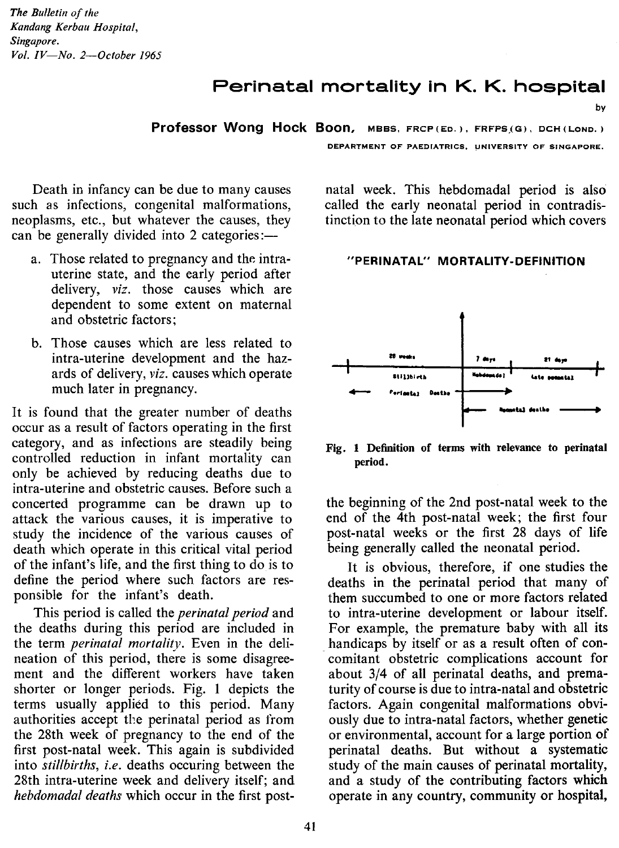# Perinatal mortality in K. K. hospital

**Professor Wong Hock Boon,** MBBS, FRCP(Eo.), FRFPS.(G), DCH(LoNO.)

DEPARTMENT OF PAEDIATRICS, UNIVERSITY OF SINGAPORE.

by

Death in infancy can be due to many causes such as infections, congenital malformations, neoplasms, etc., but whatever the causes, they can be generally divided into 2 categories:—

- a. Those related to pregnancy and the intrauterine state, and the early period after delivery, *viz.* those causes which are dependent to some extent on maternal and obstetric factors;
- b. Those causes which are less related to intra-uterine development and the hazards of delivery, *viz.* causes which operate much later in pregnancy.

It is found that the greater number of deaths occur as a result of factors operating in the first category, and as infections are steadily being controlled reduction in infant mortality can only be achieved by reducing deaths due to intra-uterine and obstetric causes. Before such a concerted programme can be drawn up to attack the various causes, it is imperative to study the incidence of the various causes of death which operate in this critical vital period of the infant's life, and the first thing to do is to define the period where such factors are responsible for the infant's death.

This period is called the *perinatal period* and the deaths during this period are included in the term *perinatal mortality.* Even in the delineation of this period, there is some disagreement and the different workers have taken shorter or longer periods. Fig. I depicts the terms usually applied to this period. Many authorities accept the perinatal period as from the 28th week of pregnancy to the end of the first post-natal week. This again is subdivided into *stillbirths, i.e.* deaths occuring between the 28th intra-uterine week and delivery itself; and *hebdomadal deaths* which occur in the first post-

natal week. This hebdomadal period is also called the early neonatal period in contradistinction to the late neonatal period which covers

#### "PERINATAL" MORTALITY-DEFINITION



Fig. 1 Definition of terms with relevance to perinatal period.

the beginning of the 2nd post-natal week to the end of the 4th post-natal week; the first four post-natal weeks or the first 28 days of life being generally called the neonatal period.

It is obvious, therefore, if one studies the deaths in the perinatal period that many of them succumbed to one or more factors related to intra-uterine development or labour itself. For example, the premature baby with all its handicaps by itself or as a result often of concomitant obstetric complications account for about 3/4 of all perinatal deaths, and prematurity of course is due to intra-natal and obstetric factors. Again congenital malformations obviously due to intra-natal factors, whether genetic or environmental, account for a large portion of perinatal deaths. But without a systematic study of the main causes of perinatal mortality, and a study of the contributing factors which operate in any country, community or hospital,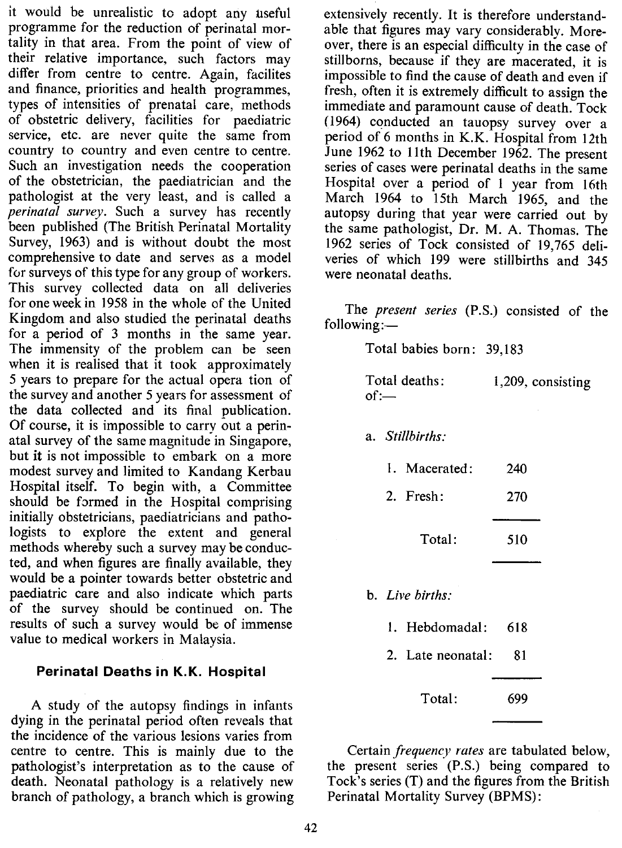it would be unrealistic to adopt any useful programme for the reduction of perinatal mortality in that area. From the point of view of their relative importance, such factors may differ from centre to centre. Again, facilites and finance, priorities and health programmes, types of intensities of prenatal care, methods of obstetric delivery, facilities for paediatric service, etc. are never quite the same from country to country and even centre to centre. Such an investigation needs the cooperation of the obstetrician, the paediatrician and the pathologist at the very least, and is called a *perinatal survey.* Such a survey has recently been published (The British Perinatal Mortality Survey, 1963) and is without doubt the most comprehensive to date and serves as a model for surveys of this type for any group of workers. This survey collected data on all deliveries for one week in 1958 in the whole of the United Kingdom and also studied the perinatal deaths for a period of 3 months in the same year. The immensity of the problem can be seen when it is realised that it took approximately 5 years to prepare for the actual opera tion of the survey and another 5 years for assessment of the data collected and its final publication. Of course, it is impossible to carry out a perinatal survey of the same magnitude in Singapore, but **it** is not impossible to embark on a more modest survey and limited to Kandang Kerbau Hospital itself. To begin with, a Committee should be formed in the Hospital comprising initially obstetricians, paediatricians and pathologists to explore the extent and general methods whereby such a survey may be conducted, and when figures are finally available, they would be a pointer towards better obstetric and paediatric care and also indicate which parts of the survey should be continued on. The results of such a survey would be of immense value to medical workers in Malaysia.

## Perinatal Deaths in K.K. Hospital

A study of the autopsy findings in infants dying in the perinatal period often reveals that the incidence of the various lesions varies from centre to centre. This is mainly due to the pathologist's interpretation as to the cause of death. Neonatal pathology is a relatively new branch of pathology, a branch which is growing

extensively recently. It is therefore understandable that figures may vary considerably. Moreover, there is an especial difficulty in the case of stillborns, because if they are macerated, it is impossible to find the cause of death and even if fresh, often it is extremely difficult to assign the immediate and paramount cause of death. Tock (1964) conducted an tauopsy survey over a period of 6 months in K.K. Hospital from 12th June 1962 to lIth December 1962. The present series of cases were perinatal deaths in the same Hospital over a period of 1 year from 16th March 1964 to 15th March 1965, and the autopsy during that year were carried out by the same pathologist, Dr. M. A. Thomas. The 1962 series of Tock consisted of 19,765 deliveries of which 199 were stillbirths and 345 were neonatal deaths.

The *present series* (P.S.) consisted of the following:-

Total babies born: 39,183

| Total deaths: | 1,209, consisting |
|---------------|-------------------|
| $of =$        |                   |

a. Stillbirths:

| 1. Macerated: | 240 |
|---------------|-----|
|               |     |

2. Fresh: 270

> Total: 510

b. Live births:

- 1. Hebdomadal: 618
- 2. Late neonatal: 81

699 Total:

Certain *frequency rates* are tabulated below, the present series (P.S.) being compared to Tock's series (T) and the figures from the British Perinatal Mortality Survey (BPMS):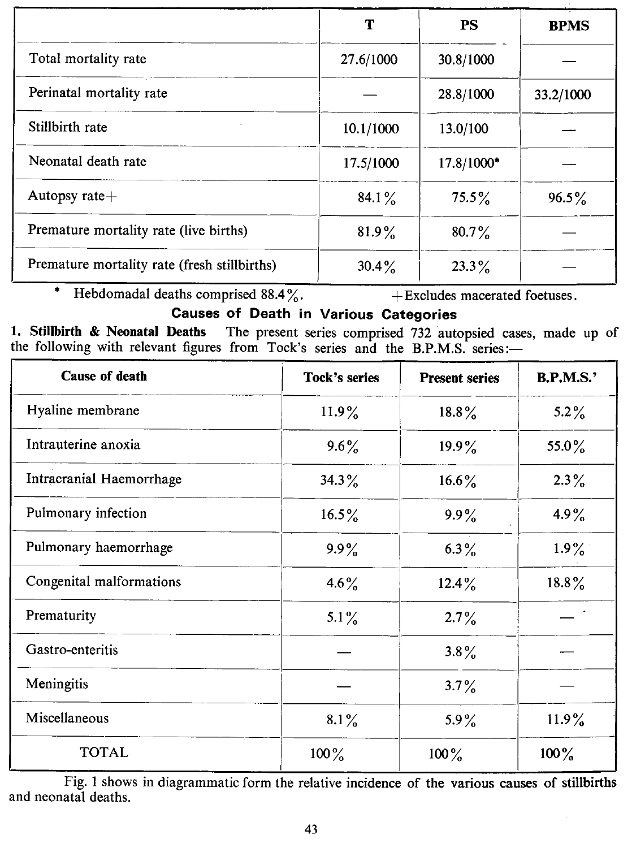|                                              | т         | <b>PS</b>  | <b>BPMS</b> |
|----------------------------------------------|-----------|------------|-------------|
| Total mortality rate                         | 27.6/1000 | 30.8/1000  |             |
| Perinatal mortality rate                     |           | 28.8/1000  | 33.2/1000   |
| Stillbirth rate                              | 10.1/1000 | 13.0/100   |             |
| Neonatal death rate                          | 17.5/1000 | 17.8/1000* |             |
| Autopsy rate $+$                             | 84.1 $\%$ | $75.5\%$   | $96.5\%$    |
| Premature mortality rate (live births)       | $81.9\%$  | $80.7\%$   |             |
| Premature mortality rate (fresh stillbirths) | $30.4\%$  | $23.3\%$   |             |

\* Hebdomadal deaths comprised  $88.4\%$ .  $+$  Excludes macerated foetuses.

# Causes of Death in Various Categories

1. Stillbirth & Neonatal Deaths The present series comprised 732 autopsied cases, made up of the following with relevant figures from Tock's series and the B.P.M.S. series:-

| <b>Cause of death</b>    | <b>Tock's series</b> | <b>Present series</b> | <b>B.P.M.S.'</b> |
|--------------------------|----------------------|-----------------------|------------------|
| Hyaline membrane         | $11.9\%$             | $18.8\%$              | $5.2\%$          |
| Intrauterine anoxia      | $9.6\%$              | $19.9\%$              | 55.0%            |
| Intracranial Haemorrhage | $34.3\%$             | $16.6\%$              | $2.3\%$          |
| Pulmonary infection      | $16.5\%$             | $9.9\%$               | 4.9%             |
| Pulmonary haemorrhage    | $9.9\%$              | $6.3\%$               | $1.9\%$          |
| Congenital malformations | 4.6 $\frac{9}{6}$    | $12.4\%$              | $18.8\%$         |
| Prematurity              | 5.1 $\frac{9}{6}$    | $2.7\%$               |                  |
| Gastro-enteritis         |                      | $3.8\%$               |                  |
| Meningitis               |                      | $3.7\%$               |                  |
| Miscellaneous            | $8.1\%$              | 5.9%                  | $11.9\%$         |
| <b>TOTAL</b>             | $100\%$              | $100\%$               | $100\%$          |

Fig. 1 shows in diagrammatic form the relative incidence of the various causes of stillbirths and neonatal deaths.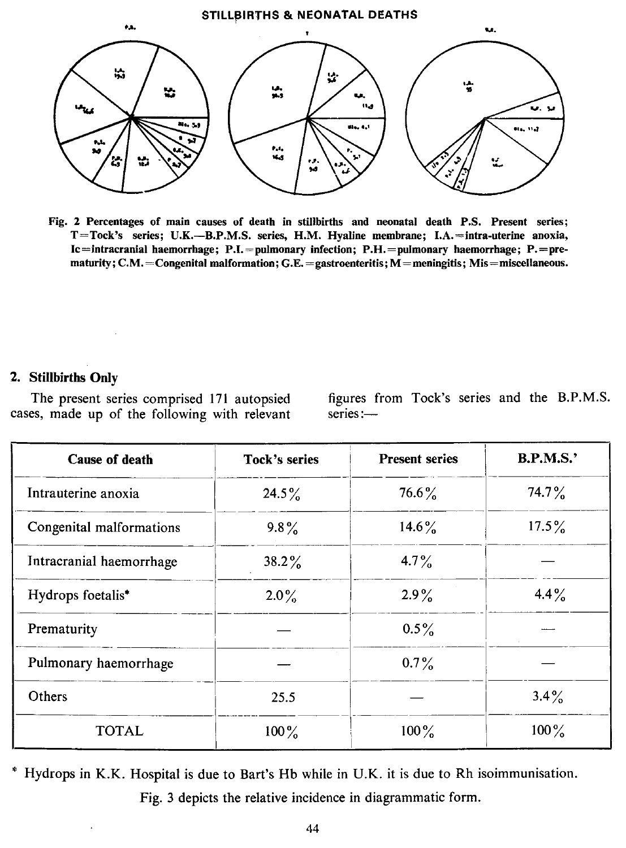#### STILLBIRTHS & NEONATAL DEATHS



Fig. 2 Percentages of main causes of death in stillbirths and neonatal death P.S. Present series; T=Tock's series; U.K.-B.P.M.S. series, H.M. Hyaline membrane; I.A.=intra-uterine anoxia, Ic=intracranial haemorrhage; P.I.=pulmonary infection; P.H.=pulmonary haemorrhage; P.=prematurity;  $C.M. =$ Congenital malformation;  $G.E. =$ gastroenteritis;  $M =$ meningitis; Mis=miscellaneous.

## 2. Stillbirths Only

The present series comprised 171 autopsied cases, made up of the following with relevant figures from Tock's series and the RP.M.S. series:-

| <b>Cause of death</b>    | Tock's series | <b>Present series</b> | B.P.M.S.' |
|--------------------------|---------------|-----------------------|-----------|
| Intrauterine anoxia      | $24.5\%$      | $76.6\%$              | $74.7\%$  |
| Congenital malformations | $9.8\%$       | $14.6\%$              | $17.5\%$  |
| Intracranial haemorrhage | $38.2\%$      | $4.7\%$               |           |
| Hydrops foetalis*        | $2.0\%$       | $2.9\%$               | $4.4\%$   |
| Prematurity              |               | $0.5\%$               |           |
| Pulmonary haemorrhage    |               | $0.7\%$               |           |
| Others                   | 25.5          |                       | $3.4\%$   |
| TOTAL                    | $100\%$       | $100\%$               | $100\%$   |

\* Hydrops in K.K. Hospital is due to Bart's Hb while in U.K. it is due to Rh isoimmunisation. Fig. 3 depicts the relative incidence in diagrammatic form.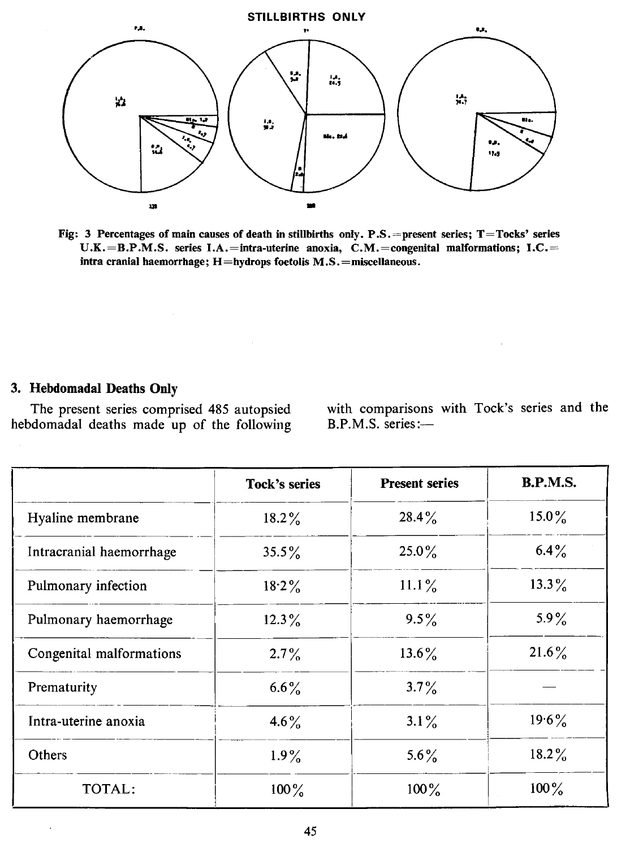

Fig: 3 Percentages of main causes of death in stillbirths only. P.S. = present series; T=Tocks' series U.K.=B.P.M.S. series I.A.=intra-uterine anoxia, C.M.=congenital malformations; I.C.= intra cranial haemorrhage; H=hydrops foetolis M.S.=miscellaneous.

# 3. Hebdomadal Deaths Only

 $\ddot{\phantom{a}}$ 

The present series comprised 485 autopsied hebdomadal deaths made up of the following with comparisons with Tock's series and the B.P.M.S. series:-

|                          | Tock's series | <b>Present series</b> | <b>B.P.M.S.</b> |
|--------------------------|---------------|-----------------------|-----------------|
| Hyaline membrane         | $18.2\%$      | $28.4\%$              | $15.0\%$        |
| Intracranial haemorrhage | $35.5\%$      | $25.0\%$              | $6.4\%$         |
| Pulmonary infection      | $18.2\%$      | $11.1\%$              | $13.3\%$        |
| Pulmonary haemorrhage    | $12.3\%$      | $9.5\%$               | $5.9\%$         |
| Congenital malformations | $2.7\%$       | $13.6\%$              | $21.6\%$        |
| Prematurity              | $6.6\%$       | $3.7\%$               |                 |
| Intra-uterine anoxia     | $4.6\%$       | $3.1\%$               | $19.6\%$        |
| Others                   | $1.9\%$       | 5.6%                  | $18.2\%$        |
| TOTAL:                   | $100\%$       | $100\%$               | $100\%$         |